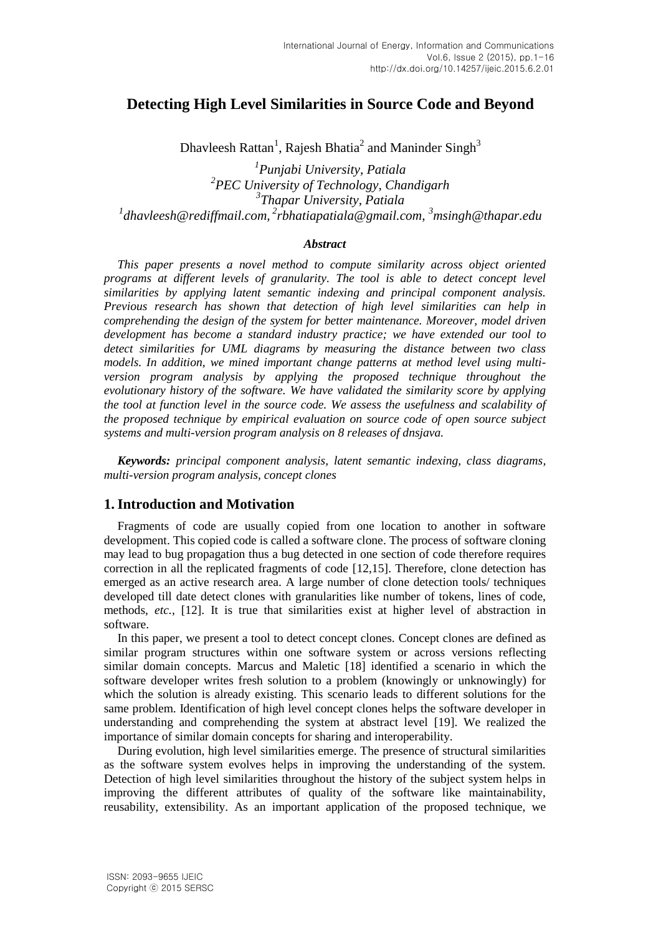# **Detecting High Level Similarities in Source Code and Beyond**

Dhavleesh Rattan<sup>1</sup>, Rajesh Bhatia<sup>2</sup> and Maninder Singh<sup>3</sup>

 *Punjabi University, Patiala PEC University of Technology, Chandigarh Thapar University, Patiala dhavleesh@rediffmail.com, 2 rbhatiapatiala@gmail.com, <sup>3</sup>msingh@thapar.edu*

### *Abstract*

*This paper presents a novel method to compute similarity across object oriented programs at different levels of granularity. The tool is able to detect concept level similarities by applying latent semantic indexing and principal component analysis. Previous research has shown that detection of high level similarities can help in comprehending the design of the system for better maintenance. Moreover, model driven development has become a standard industry practice; we have extended our tool to detect similarities for UML diagrams by measuring the distance between two class models. In addition, we mined important change patterns at method level using multiversion program analysis by applying the proposed technique throughout the evolutionary history of the software. We have validated the similarity score by applying the tool at function level in the source code. We assess the usefulness and scalability of the proposed technique by empirical evaluation on source code of open source subject systems and multi-version program analysis on 8 releases of dnsjava.*

*Keywords: principal component analysis, latent semantic indexing, class diagrams, multi-version program analysis, concept clones*

# **1.Introduction and Motivation**

Fragments of code are usually copied from one location to another in software development. This copied code is called a software clone. The process of software cloning may lead to bug propagation thus a bug detected in one section of code therefore requires correction in all the replicated fragments of code [12,15]. Therefore, clone detection has emerged as an active research area. A large number of clone detection tools/ techniques developed till date detect clones with granularities like number of tokens, lines of code, methods, *etc.*, [12]. It is true that similarities exist at higher level of abstraction in software.

In this paper, we present a tool to detect concept clones. Concept clones are defined as similar program structures within one software system or across versions reflecting similar domain concepts. Marcus and Maletic [18] identified a scenario in which the software developer writes fresh solution to a problem (knowingly or unknowingly) for which the solution is already existing. This scenario leads to different solutions for the same problem. Identification of high level concept clones helps the software developer in understanding and comprehending the system at abstract level [19]. We realized the importance of similar domain concepts for sharing and interoperability.

During evolution, high level similarities emerge. The presence of structural similarities as the software system evolves helps in improving the understanding of the system. Detection of high level similarities throughout the history of the subject system helps in improving the different attributes of quality of the software like maintainability, reusability, extensibility. As an important application of the proposed technique, we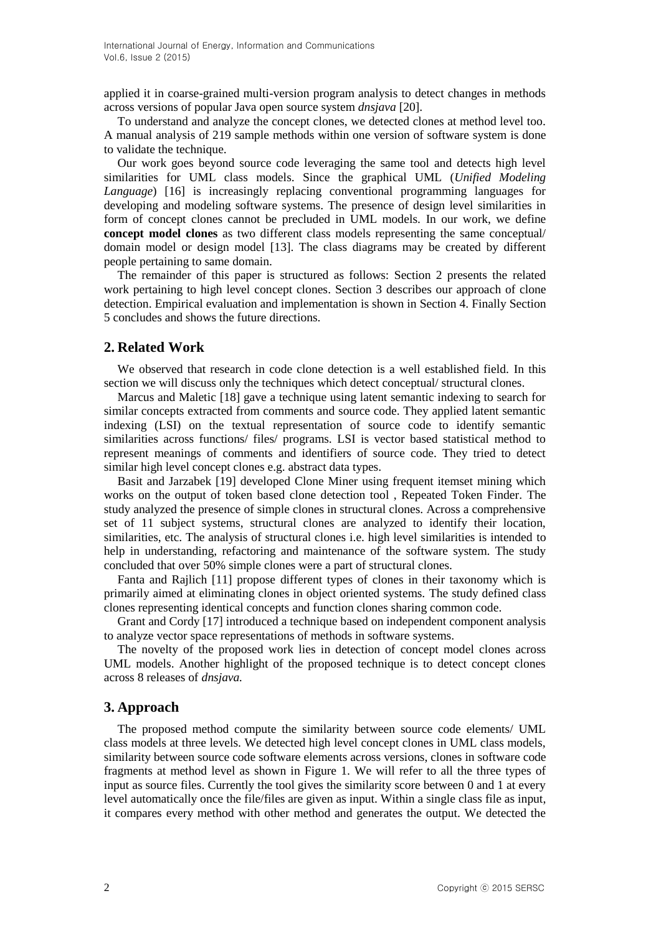applied it in coarse-grained multi-version program analysis to detect changes in methods across versions of popular Java open source system *dnsjava* [20].

To understand and analyze the concept clones, we detected clones at method level too. A manual analysis of 219 sample methods within one version of software system is done to validate the technique.

Our work goes beyond source code leveraging the same tool and detects high level similarities for UML class models. Since the graphical UML (*Unified Modeling Language*) [16] is increasingly replacing conventional programming languages for developing and modeling software systems. The presence of design level similarities in form of concept clones cannot be precluded in UML models. In our work, we define **concept model clones** as two different class models representing the same conceptual/ domain model or design model [13]. The class diagrams may be created by different people pertaining to same domain.

The remainder of this paper is structured as follows: Section 2 presents the related work pertaining to high level concept clones. Section 3 describes our approach of clone detection. Empirical evaluation and implementation is shown in Section 4. Finally Section 5 concludes and shows the future directions.

# **2. Related Work**

We observed that research in code clone detection is a well established field. In this section we will discuss only the techniques which detect conceptual/ structural clones.

Marcus and Maletic [18] gave a technique using latent semantic indexing to search for similar concepts extracted from comments and source code. They applied latent semantic indexing (LSI) on the textual representation of source code to identify semantic similarities across functions/ files/ programs. LSI is vector based statistical method to represent meanings of comments and identifiers of source code. They tried to detect similar high level concept clones e.g. abstract data types.

Basit and Jarzabek [19] developed Clone Miner using frequent itemset mining which works on the output of token based clone detection tool , Repeated Token Finder. The study analyzed the presence of simple clones in structural clones. Across a comprehensive set of 11 subject systems, structural clones are analyzed to identify their location, similarities, etc. The analysis of structural clones i.e. high level similarities is intended to help in understanding, refactoring and maintenance of the software system. The study concluded that over 50% simple clones were a part of structural clones.

Fanta and Rajlich [11] propose different types of clones in their taxonomy which is primarily aimed at eliminating clones in object oriented systems. The study defined class clones representing identical concepts and function clones sharing common code.

Grant and Cordy [17] introduced a technique based on independent component analysis to analyze vector space representations of methods in software systems.

The novelty of the proposed work lies in detection of concept model clones across UML models. Another highlight of the proposed technique is to detect concept clones across 8 releases of *dnsjava.*

#### **3. Approach**

The proposed method compute the similarity between source code elements/ UML class models at three levels. We detected high level concept clones in UML class models, similarity between source code software elements across versions, clones in software code fragments at method level as shown in Figure 1. We will refer to all the three types of input as source files. Currently the tool gives the similarity score between 0 and 1 at every level automatically once the file/files are given as input. Within a single class file as input, it compares every method with other method and generates the output. We detected the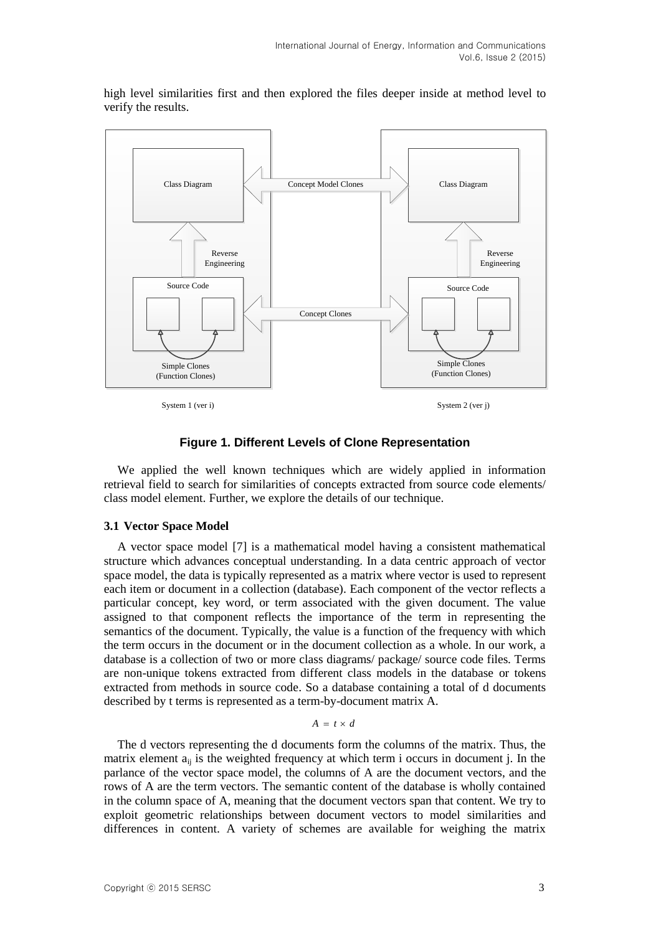

high level similarities first and then explored the files deeper inside at method level to verify the results.

System 1 (ver i) System 2 (ver i)

### **Figure 1. Different Levels of Clone Representation**

We applied the well known techniques which are widely applied in information retrieval field to search for similarities of concepts extracted from source code elements/ class model element. Further, we explore the details of our technique.

#### **3.1 Vector Space Model**

A vector space model [7] is a mathematical model having a consistent mathematical structure which advances conceptual understanding. In a data centric approach of vector space model, the data is typically represented as a matrix where vector is used to represent each item or document in a collection (database). Each component of the vector reflects a particular concept, key word, or term associated with the given document. The value assigned to that component reflects the importance of the term in representing the semantics of the document. Typically, the value is a function of the frequency with which the term occurs in the document or in the document collection as a whole. In our work, a database is a collection of two or more class diagrams/ package/ source code files. Terms are non-unique tokens extracted from different class models in the database or tokens extracted from methods in source code. So a database containing a total of d documents described by t terms is represented as a term-by-document matrix A.

### $A = t \times d$

The d vectors representing the d documents form the columns of the matrix. Thus, the matrix element  $a_{ii}$  is the weighted frequency at which term i occurs in document j. In the parlance of the vector space model, the columns of A are the document vectors, and the rows of A are the term vectors. The semantic content of the database is wholly contained in the column space of A, meaning that the document vectors span that content. We try to exploit geometric relationships between document vectors to model similarities and differences in content. A variety of schemes are available for weighing the matrix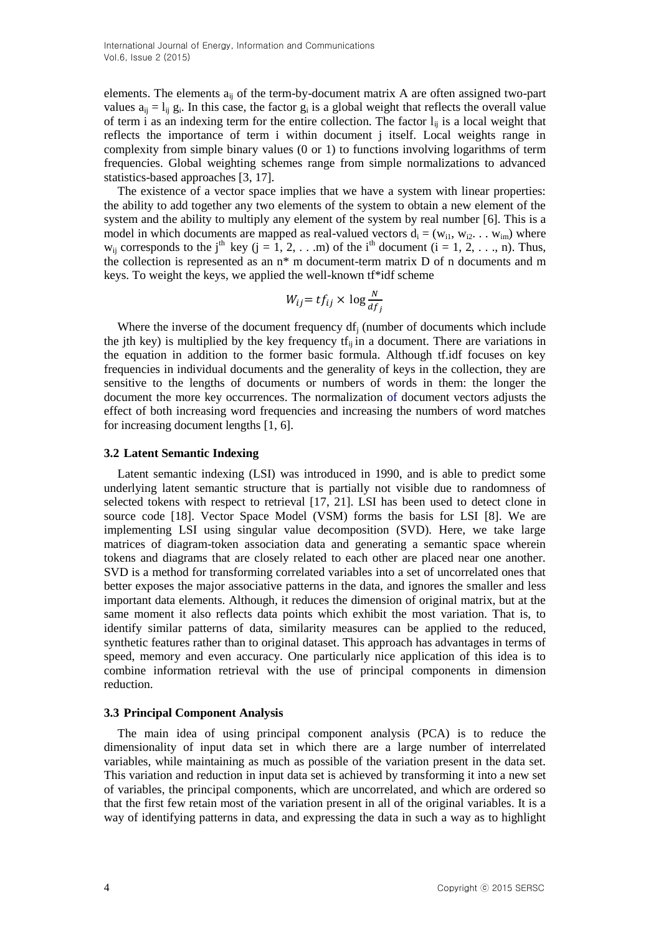International Journal of Energy, Information and Communications Vol.6, Issue 2 (2015)

elements. The elements aij of the term-by-document matrix A are often assigned two-part values  $a_{ij} = l_{ij} g_i$ . In this case, the factor  $g_i$  is a global weight that reflects the overall value of term i as an indexing term for the entire collection. The factor  $l_{ij}$  is a local weight that reflects the importance of term i within document j itself. Local weights range in complexity from simple binary values (0 or 1) to functions involving logarithms of term frequencies. Global weighting schemes range from simple normalizations to advanced statistics-based approaches [3, 17].

The existence of a vector space implies that we have a system with linear properties: the ability to add together any two elements of the system to obtain a new element of the system and the ability to multiply any element of the system by real number [6]. This is a model in which documents are mapped as real-valued vectors  $d_i = (w_{i1}, w_{i2}, \ldots, w_{im})$  where  $w_{ij}$  corresponds to the j<sup>th</sup> key (j = 1, 2, . . .m) of the i<sup>th</sup> document (i = 1, 2, . . ., n). Thus, the collection is represented as an n\* m document-term matrix D of n documents and m keys. To weight the keys, we applied the well-known tf\*idf scheme

$$
W_{ij} = tf_{ij} \times \log \frac{N}{df_j}
$$

Where the inverse of the document frequency  $df_i$  (number of documents which include the jth key) is multiplied by the key frequency  $tf_{ii}$  in a document. There are variations in the equation in addition to the former basic formula. Although tf.idf focuses on key frequencies in individual documents and the generality of keys in the collection, they are sensitive to the lengths of documents or numbers of words in them: the longer the document the more key occurrences. The normalization of document vectors adjusts the effect of both increasing word frequencies and increasing the numbers of word matches for increasing document lengths [1, 6].

#### **3.2 Latent Semantic Indexing**

Latent semantic indexing (LSI) was introduced in 1990, and is able to predict some underlying latent semantic structure that is partially not visible due to randomness of selected tokens with respect to retrieval [17, 21]. LSI has been used to detect clone in source code [18]. Vector Space Model (VSM) forms the basis for LSI [8]. We are implementing LSI using singular value decomposition (SVD). Here, we take large matrices of diagram-token association data and generating a semantic space wherein tokens and diagrams that are closely related to each other are placed near one another. SVD is a method for transforming correlated variables into a set of uncorrelated ones that better exposes the major associative patterns in the data, and ignores the smaller and less important data elements. Although, it reduces the dimension of original matrix, but at the same moment it also reflects data points which exhibit the most variation. That is, to identify similar patterns of data, similarity measures can be applied to the reduced, synthetic features rather than to original dataset. This approach has advantages in terms of speed, memory and even accuracy. One particularly nice application of this idea is to combine information retrieval with the use of principal components in dimension reduction.

#### **3.3 Principal Component Analysis**

The main idea of using principal component analysis (PCA) is to reduce the dimensionality of input data set in which there are a large number of interrelated variables, while maintaining as much as possible of the variation present in the data set. This variation and reduction in input data set is achieved by transforming it into a new set of variables, the principal components, which are uncorrelated, and which are ordered so that the first few retain most of the variation present in all of the original variables. It is a way of identifying patterns in data, and expressing the data in such a way as to highlight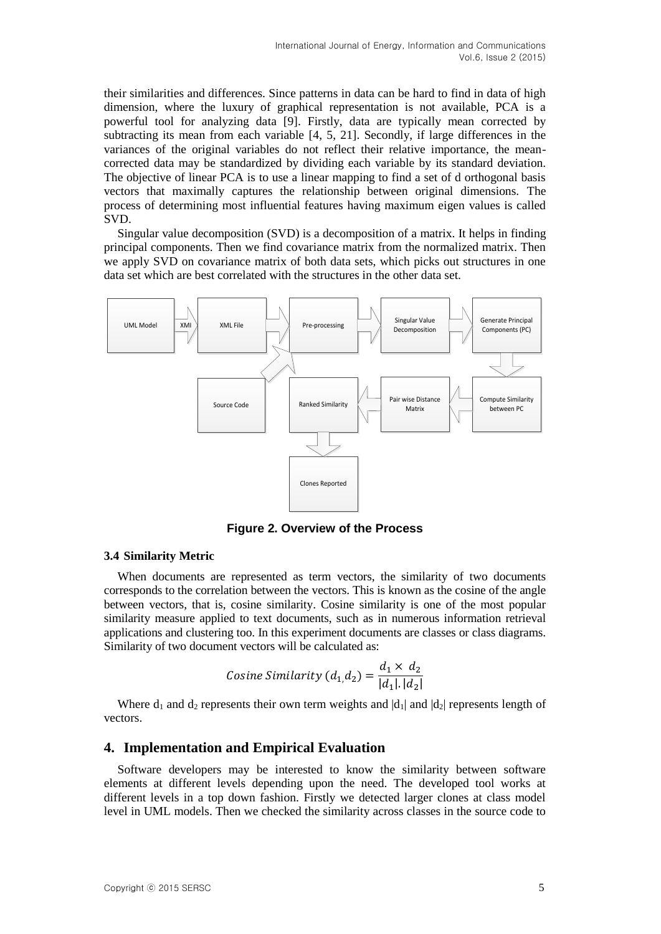their similarities and differences. Since patterns in data can be hard to find in data of high dimension, where the luxury of graphical representation is not available, PCA is a powerful tool for analyzing data [9]. Firstly, data are typically mean corrected by subtracting its mean from each variable [4, 5, 21]. Secondly, if large differences in the variances of the original variables do not reflect their relative importance, the meancorrected data may be standardized by dividing each variable by its standard deviation. The objective of linear PCA is to use a linear mapping to find a set of d orthogonal basis vectors that maximally captures the relationship between original dimensions. The process of determining most influential features having maximum eigen values is called SVD.

Singular value decomposition (SVD) is a decomposition of a matrix. It helps in finding principal components. Then we find covariance matrix from the normalized matrix. Then we apply SVD on covariance matrix of both data sets, which picks out structures in one data set which are best correlated with the structures in the other data set.



**Figure 2. Overview of the Process**

### **3.4 Similarity Metric**

When documents are represented as term vectors, the similarity of two documents corresponds to the correlation between the vectors. This is known as the cosine of the angle between vectors, that is, cosine similarity. Cosine similarity is one of the most popular similarity measure applied to text documents, such as in numerous information retrieval applications and clustering too. In this experiment documents are classes or class diagrams. Similarity of two document vectors will be calculated as:

$$
Cosine Similarity (d_1, d_2) = \frac{d_1 \times d_2}{|d_1|, |d_2|}
$$

Where  $d_1$  and  $d_2$  represents their own term weights and  $|d_1|$  and  $|d_2|$  represents length of vectors.

# **4. Implementation and Empirical Evaluation**

Software developers may be interested to know the similarity between software elements at different levels depending upon the need. The developed tool works at different levels in a top down fashion. Firstly we detected larger clones at class model level in UML models. Then we checked the similarity across classes in the source code to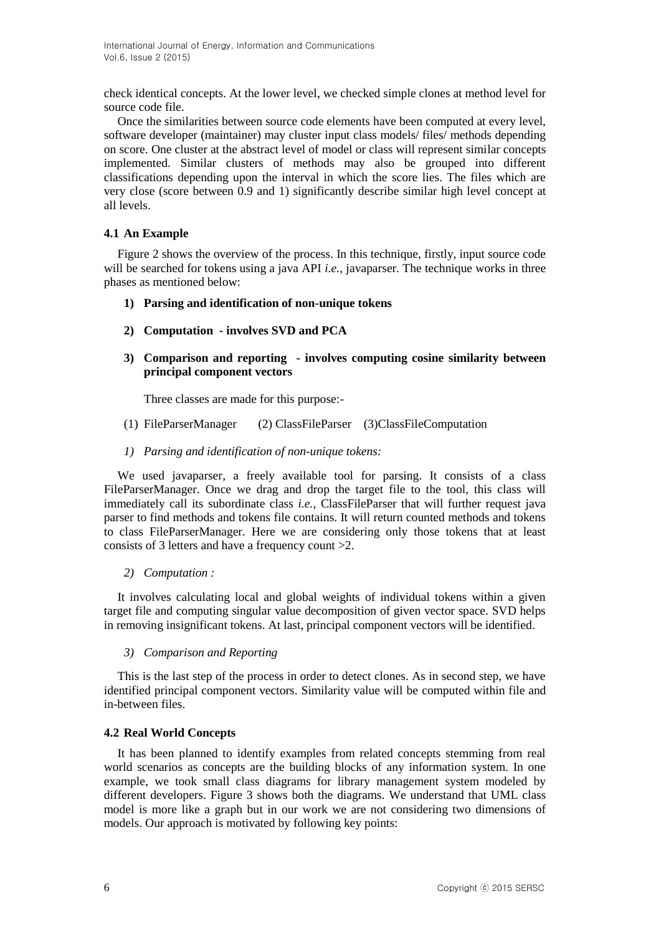check identical concepts. At the lower level, we checked simple clones at method level for source code file.

Once the similarities between source code elements have been computed at every level, software developer (maintainer) may cluster input class models/ files/ methods depending on score. One cluster at the abstract level of model or class will represent similar concepts implemented. Similar clusters of methods may also be grouped into different classifications depending upon the interval in which the score lies. The files which are very close (score between 0.9 and 1) significantly describe similar high level concept at all levels.

# **4.1 An Example**

Figure 2 shows the overview of the process. In this technique, firstly, input source code will be searched for tokens using a java API *i.e.*, javaparser. The technique works in three phases as mentioned below:

- **1) Parsing and identification of non-unique tokens**
- **2) Computation - involves SVD and PCA**
- **3) Comparison and reporting - involves computing cosine similarity between principal component vectors**

Three classes are made for this purpose:-

- (1) FileParserManager (2) ClassFileParser (3)ClassFileComputation
- *1) Parsing and identification of non-unique tokens:*

We used javaparser, a freely available tool for parsing. It consists of a class FileParserManager. Once we drag and drop the target file to the tool, this class will immediately call its subordinate class *i.e.*, ClassFileParser that will further request java parser to find methods and tokens file contains. It will return counted methods and tokens to class FileParserManager. Here we are considering only those tokens that at least consists of 3 letters and have a frequency count >2.

### *2) Computation :*

It involves calculating local and global weights of individual tokens within a given target file and computing singular value decomposition of given vector space. SVD helps in removing insignificant tokens. At last, principal component vectors will be identified.

*3) Comparison and Reporting*

This is the last step of the process in order to detect clones. As in second step, we have identified principal component vectors. Similarity value will be computed within file and in-between files.

### **4.2 Real World Concepts**

It has been planned to identify examples from related concepts stemming from real world scenarios as concepts are the building blocks of any information system. In one example, we took small class diagrams for library management system modeled by different developers. Figure 3 shows both the diagrams. We understand that UML class model is more like a graph but in our work we are not considering two dimensions of models. Our approach is motivated by following key points: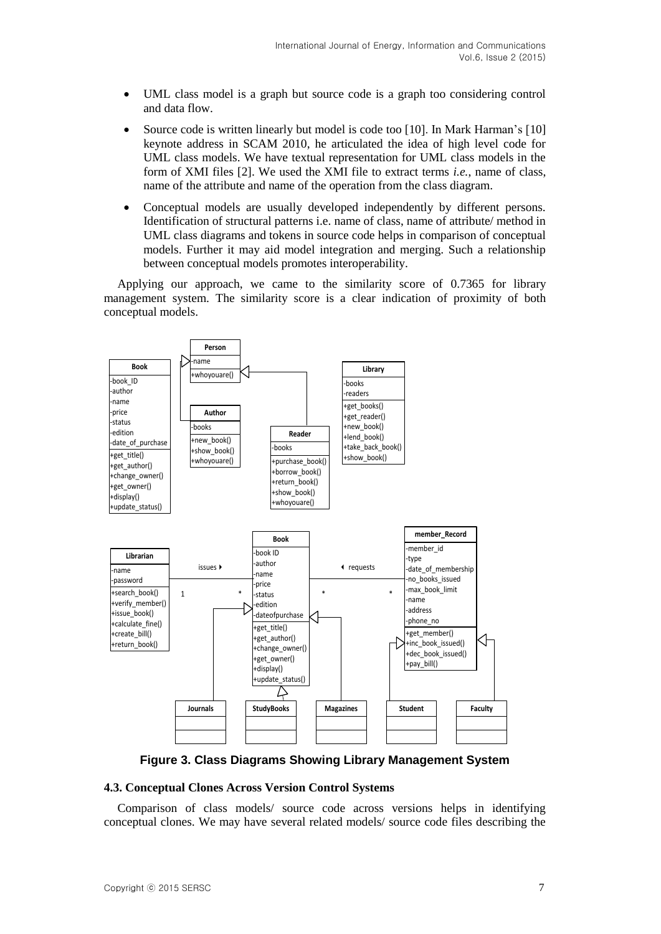- UML class model is a graph but source code is a graph too considering control and data flow.
- Source code is written linearly but model is code too [10]. In Mark Harman's [10] keynote address in SCAM 2010, he articulated the idea of high level code for UML class models. We have textual representation for UML class models in the form of XMI files [2]. We used the XMI file to extract terms *i.e.*, name of class, name of the attribute and name of the operation from the class diagram.
- Conceptual models are usually developed independently by different persons. Identification of structural patterns i.e. name of class, name of attribute/ method in UML class diagrams and tokens in source code helps in comparison of conceptual models. Further it may aid model integration and merging. Such a relationship between conceptual models promotes interoperability.

Applying our approach, we came to the similarity score of 0.7365 for library management system. The similarity score is a clear indication of proximity of both conceptual models.



**Figure 3. Class Diagrams Showing Library Management System**

### **4.3. Conceptual Clones Across Version Control Systems**

Comparison of class models/ source code across versions helps in identifying conceptual clones. We may have several related models/ source code files describing the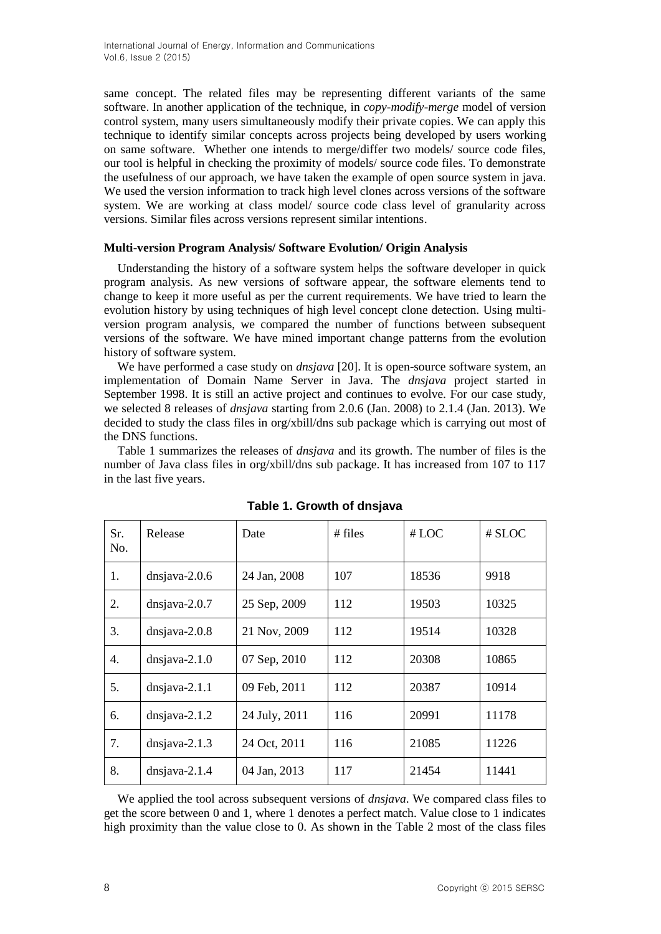same concept. The related files may be representing different variants of the same software. In another application of the technique, in *copy-modify-merge* model of version control system, many users simultaneously modify their private copies. We can apply this technique to identify similar concepts across projects being developed by users working on same software. Whether one intends to merge/differ two models/ source code files, our tool is helpful in checking the proximity of models/ source code files. To demonstrate the usefulness of our approach, we have taken the example of open source system in java. We used the version information to track high level clones across versions of the software system. We are working at class model/ source code class level of granularity across versions. Similar files across versions represent similar intentions.

### **Multi-version Program Analysis/ Software Evolution/ Origin Analysis**

Understanding the history of a software system helps the software developer in quick program analysis. As new versions of software appear, the software elements tend to change to keep it more useful as per the current requirements. We have tried to learn the evolution history by using techniques of high level concept clone detection. Using multiversion program analysis, we compared the number of functions between subsequent versions of the software. We have mined important change patterns from the evolution history of software system.

We have performed a case study on *dnsjava* [20]. It is open-source software system, an implementation of Domain Name Server in Java. The *dnsjava* project started in September 1998. It is still an active project and continues to evolve. For our case study, we selected 8 releases of *dnsjava* starting from 2.0.6 (Jan. 2008) to 2.1.4 (Jan. 2013). We decided to study the class files in org/xbill/dns sub package which is carrying out most of the DNS functions.

Table 1 summarizes the releases of *dnsjava* and its growth. The number of files is the number of Java class files in org/xbill/dns sub package. It has increased from 107 to 117 in the last five years.

| Sr.<br>No. | Release          | Date          | # files | #LOC  | # SLOC |
|------------|------------------|---------------|---------|-------|--------|
| 1.         | $d$ nsjava-2.0.6 | 24 Jan, 2008  | 107     | 18536 | 9918   |
| 2.         | dnsjava- $2.0.7$ | 25 Sep, 2009  | 112     | 19503 | 10325  |
| 3.         | $d$ nsjava-2.0.8 | 21 Nov, 2009  | 112     | 19514 | 10328  |
| 4.         | $d$ nsjava-2.1.0 | 07 Sep, 2010  | 112     | 20308 | 10865  |
| 5.         | $disjava-2.1.1$  | 09 Feb, 2011  | 112     | 20387 | 10914  |
| 6.         | $disjava-2.1.2$  | 24 July, 2011 | 116     | 20991 | 11178  |
| 7.         | $dnsjava-2.1.3$  | 24 Oct, 2011  | 116     | 21085 | 11226  |
| 8.         | $dnsjava-2.1.4$  | 04 Jan, 2013  | 117     | 21454 | 11441  |

**Table 1. Growth of dnsjava**

We applied the tool across subsequent versions of *dnsjava*. We compared class files to get the score between 0 and 1, where 1 denotes a perfect match. Value close to 1 indicates high proximity than the value close to 0. As shown in the Table 2 most of the class files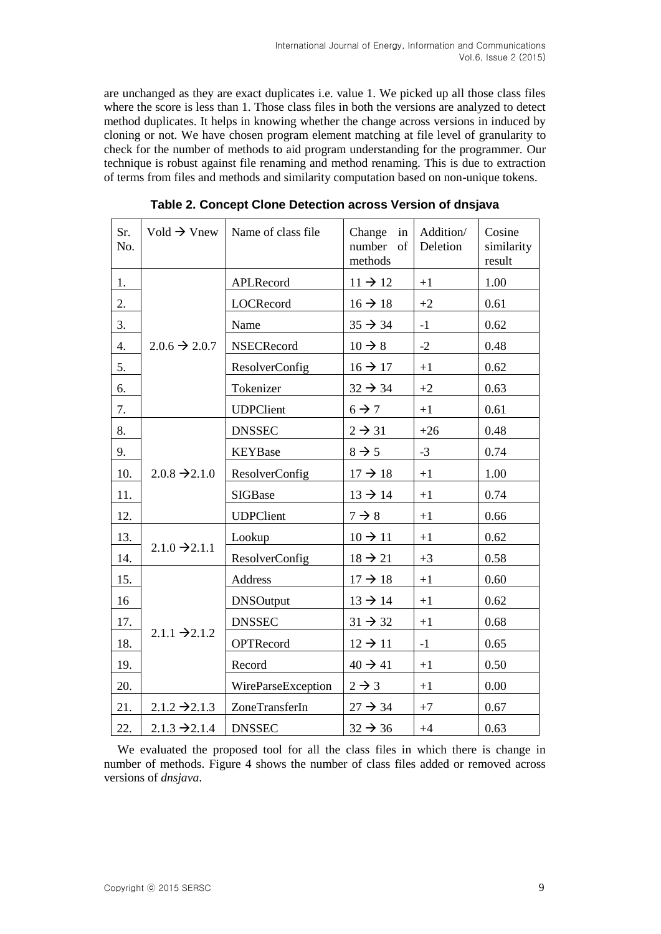are unchanged as they are exact duplicates i.e. value 1. We picked up all those class files where the score is less than 1. Those class files in both the versions are analyzed to detect method duplicates. It helps in knowing whether the change across versions in induced by cloning or not. We have chosen program element matching at file level of granularity to check for the number of methods to aid program understanding for the programmer. Our technique is robust against file renaming and method renaming. This is due to extraction of terms from files and methods and similarity computation based on non-unique tokens.

| Sr.<br>No. | Vold $\rightarrow$ Vnew   | Name of class file    | Change<br>in<br>number<br>of<br>methods |       | Cosine<br>similarity<br>result |
|------------|---------------------------|-----------------------|-----------------------------------------|-------|--------------------------------|
| 1.         |                           | APLRecord             | $11 \rightarrow 12$                     | $+1$  | 1.00                           |
| 2.         |                           | LOCRecord             | $16 \rightarrow 18$                     | $+2$  | 0.61                           |
| 3.         |                           | Name                  | $35 \rightarrow 34$                     | $-1$  | 0.62                           |
| 4.         | $2.0.6 \rightarrow 2.0.7$ | <b>NSECRecord</b>     | $10 \rightarrow 8$                      | $-2$  | 0.48                           |
| 5.         |                           | <b>ResolverConfig</b> | $16 \rightarrow 17$                     | $+1$  | 0.62                           |
| 6.         |                           | Tokenizer             | $32 \rightarrow 34$                     | $+2$  | 0.63                           |
| 7.         |                           | <b>UDPClient</b>      | $6 \rightarrow 7$                       | $+1$  | 0.61                           |
| 8.         |                           | <b>DNSSEC</b>         | $2 \rightarrow 31$                      | $+26$ | 0.48                           |
| 9.         |                           | <b>KEYBase</b>        | $8 \rightarrow 5$                       | $-3$  | 0.74                           |
| 10.        | $2.0.8 \rightarrow 2.1.0$ | <b>ResolverConfig</b> | $17 \rightarrow 18$                     | $+1$  | 1.00                           |
| 11.        |                           | <b>SIGBase</b>        | $13 \rightarrow 14$                     | $+1$  | 0.74                           |
| 12.        |                           | <b>UDPClient</b>      | $7 \rightarrow 8$                       | $+1$  | 0.66                           |
| 13.        |                           | Lookup                | $10 \rightarrow 11$                     | $+1$  | 0.62                           |
| 14.        | $2.1.0 \rightarrow 2.1.1$ | ResolverConfig        | $18 \rightarrow 21$                     | $+3$  | 0.58                           |
| 15.        |                           | Address               | $17 \rightarrow 18$                     | $+1$  | 0.60                           |
| 16         |                           | <b>DNSOutput</b>      | $13 \rightarrow 14$                     | $+1$  | 0.62                           |
| 17.        |                           | <b>DNSSEC</b>         | $31 \rightarrow 32$                     | $+1$  | 0.68                           |
| 18.        | $2.1.1 \rightarrow 2.1.2$ | OPTRecord             | $12 \rightarrow 11$                     | $-1$  | 0.65                           |
| 19.        |                           | Record                | $40 \rightarrow 41$                     | $+1$  | 0.50                           |
| 20.        |                           | WireParseException    | $2 \rightarrow 3$                       | $+1$  | 0.00                           |
| 21.        | $2.1.2 \rightarrow 2.1.3$ | ZoneTransferIn        | $27 \rightarrow 34$                     | $+7$  | 0.67                           |
| 22.        | $2.1.3 \rightarrow 2.1.4$ | <b>DNSSEC</b>         | $32 \rightarrow 36$                     | $+4$  | 0.63                           |

**Table 2. Concept Clone Detection across Version of dnsjava**

We evaluated the proposed tool for all the class files in which there is change in number of methods. Figure 4 shows the number of class files added or removed across versions of *dnsjava*.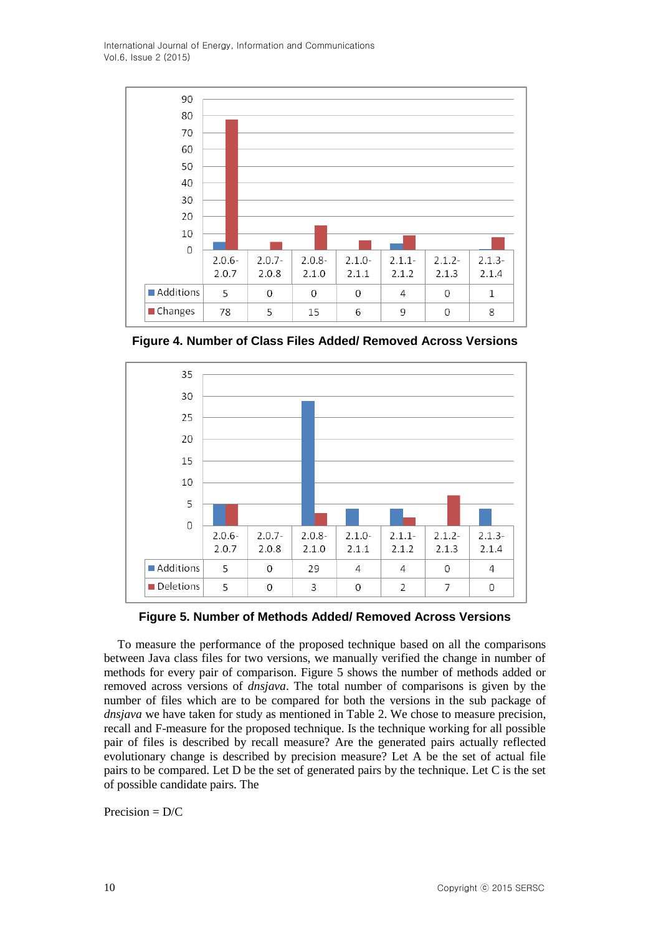International Journal of Energy, Information and Communications Vol.6, Issue 2 (2015)



**Figure 4. Number of Class Files Added/ Removed Across Versions**



**Figure 5. Number of Methods Added/ Removed Across Versions**

To measure the performance of the proposed technique based on all the comparisons between Java class files for two versions, we manually verified the change in number of methods for every pair of comparison. Figure 5 shows the number of methods added or removed across versions of *dnsjava*. The total number of comparisons is given by the number of files which are to be compared for both the versions in the sub package of *dnsjava* we have taken for study as mentioned in Table 2. We chose to measure precision, recall and F-measure for the proposed technique. Is the technique working for all possible pair of files is described by recall measure? Are the generated pairs actually reflected evolutionary change is described by precision measure? Let A be the set of actual file pairs to be compared. Let D be the set of generated pairs by the technique. Let C is the set of possible candidate pairs. The

Precision  $= D/C$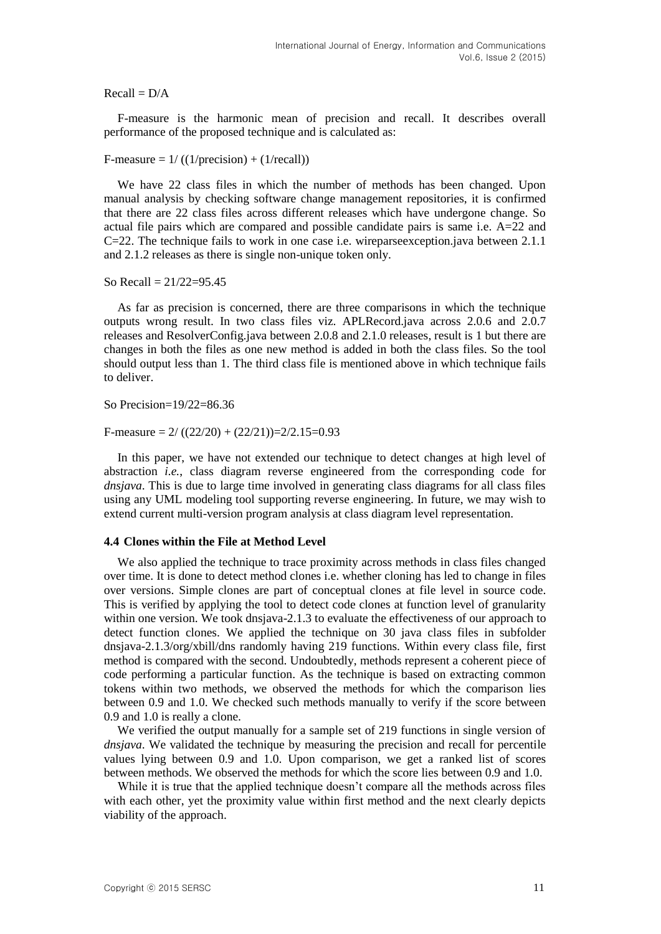$Recall = D/A$ 

F-measure is the harmonic mean of precision and recall. It describes overall performance of the proposed technique and is calculated as:

F-measure  $= 1/ ((1/precision) + (1/recall))$ 

We have 22 class files in which the number of methods has been changed. Upon manual analysis by checking software change management repositories, it is confirmed that there are 22 class files across different releases which have undergone change. So actual file pairs which are compared and possible candidate pairs is same i.e. A=22 and C=22. The technique fails to work in one case i.e. wireparseexception.java between 2.1.1 and 2.1.2 releases as there is single non-unique token only.

So Recall = 21/22=95.45

As far as precision is concerned, there are three comparisons in which the technique outputs wrong result. In two class files viz. APLRecord.java across 2.0.6 and 2.0.7 releases and ResolverConfig.java between 2.0.8 and 2.1.0 releases, result is 1 but there are changes in both the files as one new method is added in both the class files. So the tool should output less than 1. The third class file is mentioned above in which technique fails to deliver.

So Precision=19/22=86.36

F-measure =  $2/((22/20) + (22/21))=2/2.15=0.93$ 

In this paper, we have not extended our technique to detect changes at high level of abstraction *i.e.*, class diagram reverse engineered from the corresponding code for *dnsjava*. This is due to large time involved in generating class diagrams for all class files using any UML modeling tool supporting reverse engineering. In future, we may wish to extend current multi-version program analysis at class diagram level representation.

#### **4.4 Clones within the File at Method Level**

We also applied the technique to trace proximity across methods in class files changed over time. It is done to detect method clones i.e. whether cloning has led to change in files over versions. Simple clones are part of conceptual clones at file level in source code. This is verified by applying the tool to detect code clones at function level of granularity within one version. We took dnsjava-2.1.3 to evaluate the effectiveness of our approach to detect function clones. We applied the technique on 30 java class files in subfolder dnsjava-2.1.3/org/xbill/dns randomly having 219 functions. Within every class file, first method is compared with the second. Undoubtedly, methods represent a coherent piece of code performing a particular function. As the technique is based on extracting common tokens within two methods, we observed the methods for which the comparison lies between 0.9 and 1.0. We checked such methods manually to verify if the score between 0.9 and 1.0 is really a clone.

We verified the output manually for a sample set of 219 functions in single version of *dnsjava*. We validated the technique by measuring the precision and recall for percentile values lying between 0.9 and 1.0. Upon comparison, we get a ranked list of scores between methods. We observed the methods for which the score lies between 0.9 and 1.0.

While it is true that the applied technique doesn't compare all the methods across files with each other, yet the proximity value within first method and the next clearly depicts viability of the approach.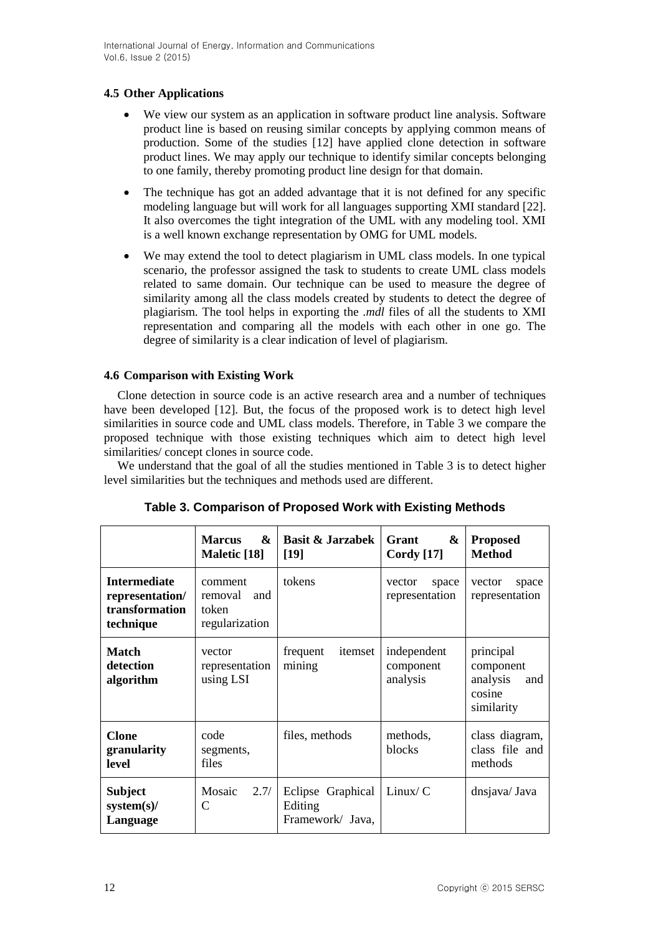# **4.5 Other Applications**

- We view our system as an application in software product line analysis. Software product line is based on reusing similar concepts by applying common means of production. Some of the studies [12] have applied clone detection in software product lines. We may apply our technique to identify similar concepts belonging to one family, thereby promoting product line design for that domain.
- The technique has got an added advantage that it is not defined for any specific modeling language but will work for all languages supporting XMI standard [22]. It also overcomes the tight integration of the UML with any modeling tool. XMI is a well known exchange representation by OMG for UML models.
- We may extend the tool to detect plagiarism in UML class models. In one typical scenario, the professor assigned the task to students to create UML class models related to same domain. Our technique can be used to measure the degree of similarity among all the class models created by students to detect the degree of plagiarism. The tool helps in exporting the *.mdl* files of all the students to XMI representation and comparing all the models with each other in one go. The degree of similarity is a clear indication of level of plagiarism.

# **4.6 Comparison with Existing Work**

Clone detection in source code is an active research area and a number of techniques have been developed [12]. But, the focus of the proposed work is to detect high level similarities in source code and UML class models. Therefore, in Table 3 we compare the proposed technique with those existing techniques which aim to detect high level similarities/ concept clones in source code.

We understand that the goal of all the studies mentioned in Table 3 is to detect higher level similarities but the techniques and methods used are different.

|                                                                       | $\mathbf{\&}$<br><b>Marcus</b><br>Maletic [18]       | <b>Basit &amp; Jarzabek</b><br>[19]              | Grant<br>&<br>Cordy $[17]$           | <b>Proposed</b><br><b>Method</b>                                  |
|-----------------------------------------------------------------------|------------------------------------------------------|--------------------------------------------------|--------------------------------------|-------------------------------------------------------------------|
| <b>Intermediate</b><br>representation/<br>transformation<br>technique | comment<br>removal<br>and<br>token<br>regularization | tokens                                           | space<br>vector<br>representation    | vector<br>space<br>representation                                 |
| <b>Match</b><br>detection<br>algorithm                                | vector<br>representation<br>using LSI                | frequent<br>itemset<br>mining                    | independent<br>component<br>analysis | principal<br>component<br>analysis<br>and<br>cosine<br>similarity |
| <b>Clone</b><br>granularity<br>level                                  | code<br>segments,<br>files                           | files, methods                                   | methods,<br><b>blocks</b>            | class diagram,<br>class file and<br>methods                       |
| <b>Subject</b><br>$system(s)$ /<br>Language                           | Mosaic<br>2.7/<br>C                                  | Eclipse Graphical<br>Editing<br>Framework/ Java, | Linux/C                              | dnsjava/Java                                                      |

**Table 3. Comparison of Proposed Work with Existing Methods**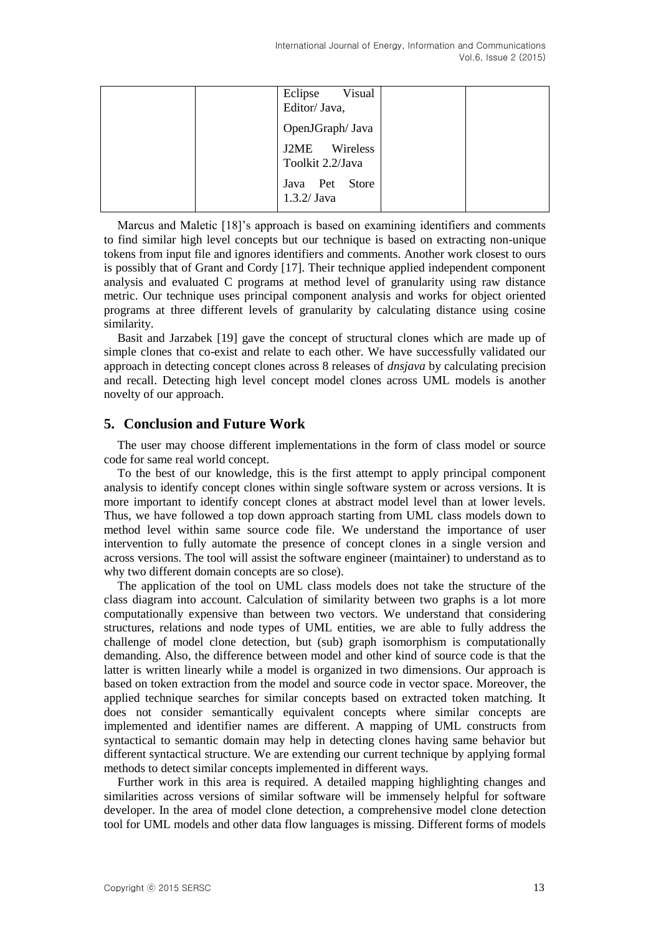| Visual<br>Eclipse<br>Editor/ Java, |  |
|------------------------------------|--|
| OpenJGraph/ Java                   |  |
| J2ME Wireless<br>Toolkit 2.2/Java  |  |
| Java Pet Store<br>$1.3.2/$ Java    |  |

Marcus and Maletic [18]'s approach is based on examining identifiers and comments to find similar high level concepts but our technique is based on extracting non-unique tokens from input file and ignores identifiers and comments. Another work closest to ours is possibly that of Grant and Cordy [17]. Their technique applied independent component analysis and evaluated C programs at method level of granularity using raw distance metric. Our technique uses principal component analysis and works for object oriented programs at three different levels of granularity by calculating distance using cosine similarity.

Basit and Jarzabek [19] gave the concept of structural clones which are made up of simple clones that co-exist and relate to each other. We have successfully validated our approach in detecting concept clones across 8 releases of *dnsjava* by calculating precision and recall. Detecting high level concept model clones across UML models is another novelty of our approach.

# **5. Conclusion and Future Work**

The user may choose different implementations in the form of class model or source code for same real world concept.

To the best of our knowledge, this is the first attempt to apply principal component analysis to identify concept clones within single software system or across versions. It is more important to identify concept clones at abstract model level than at lower levels. Thus, we have followed a top down approach starting from UML class models down to method level within same source code file. We understand the importance of user intervention to fully automate the presence of concept clones in a single version and across versions. The tool will assist the software engineer (maintainer) to understand as to why two different domain concepts are so close).

The application of the tool on UML class models does not take the structure of the class diagram into account. Calculation of similarity between two graphs is a lot more computationally expensive than between two vectors. We understand that considering structures, relations and node types of UML entities, we are able to fully address the challenge of model clone detection, but (sub) graph isomorphism is computationally demanding. Also, the difference between model and other kind of source code is that the latter is written linearly while a model is organized in two dimensions. Our approach is based on token extraction from the model and source code in vector space. Moreover, the applied technique searches for similar concepts based on extracted token matching. It does not consider semantically equivalent concepts where similar concepts are implemented and identifier names are different. A mapping of UML constructs from syntactical to semantic domain may help in detecting clones having same behavior but different syntactical structure. We are extending our current technique by applying formal methods to detect similar concepts implemented in different ways.

Further work in this area is required. A detailed mapping highlighting changes and similarities across versions of similar software will be immensely helpful for software developer. In the area of model clone detection, a comprehensive model clone detection tool for UML models and other data flow languages is missing. Different forms of models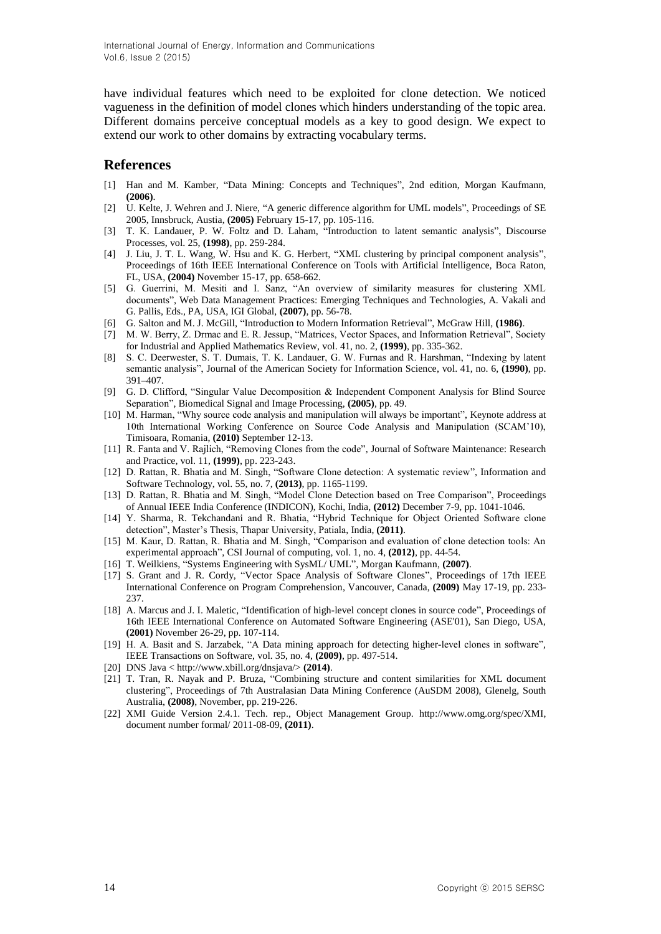have individual features which need to be exploited for clone detection. We noticed vagueness in the definition of model clones which hinders understanding of the topic area. Different domains perceive conceptual models as a key to good design. We expect to extend our work to other domains by extracting vocabulary terms.

# **References**

- [1] Han and M. Kamber, "Data Mining: Concepts and Techniques", 2nd edition, Morgan Kaufmann, **(2006)**.
- [2] U. Kelte, J. Wehren and J. Niere, "A generic difference algorithm for UML models", Proceedings of SE 2005, Innsbruck, Austia, **(2005)** February 15-17, pp. 105-116.
- [3] T. K. Landauer, P. W. Foltz and D. Laham, "Introduction to latent semantic analysis", Discourse Processes, vol. 25, **(1998)**, pp. 259-284.
- [4] J. Liu, J. T. L. Wang, W. Hsu and K. G. Herbert, "XML clustering by principal component analysis", Proceedings of 16th IEEE International Conference on Tools with Artificial Intelligence, Boca Raton, FL, USA, **(2004)** November 15-17, pp. 658-662.
- [5] G. Guerrini, M. Mesiti and I. Sanz, "An overview of similarity measures for clustering XML documents", Web Data Management Practices: Emerging Techniques and Technologies, A. Vakali and G. Pallis, Eds., PA, USA, IGI Global, **(2007)**, pp. 56-78.
- [6] G. Salton and M. J. McGill, "Introduction to Modern Information Retrieval", McGraw Hill, **(1986)**.
- [7] M. W. Berry, Z. Drmac and E. R. Jessup, "Matrices, Vector Spaces, and Information Retrieval", Society for Industrial and Applied Mathematics Review, vol. 41, no. 2, **(1999)**, pp. 335-362.
- [8] S. C. Deerwester, S. T. Dumais, T. K. Landauer, G. W. Furnas and R. Harshman, "Indexing by latent semantic analysis", Journal of the American Society for Information Science, vol. 41, no. 6, **(1990)**, pp. 391–407.
- [9] G. D. Clifford, "Singular Value Decomposition & Independent Component Analysis for Blind Source Separation", Biomedical Signal and Image Processing, **(2005)**, pp. 49.
- [10] M. Harman, "Why source code analysis and manipulation will always be important", Keynote address at 10th International Working Conference on Source Code Analysis and Manipulation (SCAM'10), Timisoara, Romania, **(2010)** September 12-13.
- [11] R. Fanta and V. Rajlich, "Removing Clones from the code", Journal of Software Maintenance: Research and Practice, vol. 11, **(1999)**, pp. 223-243.
- [12] D. Rattan, R. Bhatia and M. Singh, "Software Clone detection: A systematic review", Information and Software Technology, vol. 55, no. 7, **(2013)**, pp. 1165-1199.
- [13] D. Rattan, R. Bhatia and M. Singh, "Model Clone Detection based on Tree Comparison", Proceedings of Annual IEEE India Conference (INDICON), Kochi, India, **(2012)** December 7-9, pp. 1041-1046.
- [14] Y. Sharma, R. Tekchandani and R. Bhatia, "Hybrid Technique for Object Oriented Software clone detection", Master's Thesis, Thapar University, Patiala, India, **(2011)**.
- [15] M. Kaur, D. Rattan, R. Bhatia and M. Singh, "Comparison and evaluation of clone detection tools: An experimental approach", CSI Journal of computing, vol. 1, no. 4, **(2012)**, pp. 44-54.
- [16] T. Weilkiens, "Systems Engineering with SysML/ UML", Morgan Kaufmann, **(2007)**.
- [17] S. Grant and J. R. Cordy, "Vector Space Analysis of Software Clones", Proceedings of 17th IEEE International Conference on Program Comprehension, Vancouver, Canada, **(2009)** May 17-19, pp. 233- 237.
- [18] A. Marcus and J. I. Maletic, "Identification of high-level concept clones in source code", Proceedings of 16th IEEE International Conference on Automated Software Engineering (ASE'01), San Diego, USA, **(2001)** November 26-29, pp. 107-114.
- [19] H. A. Basit and S. Jarzabek, "A Data mining approach for detecting higher-level clones in software", IEEE Transactions on Software, vol. 35, no. 4, **(2009)**, pp. 497-514.
- [20] DNS Java < http://www.xbill.org/dnsjava/> **(2014)**.
- [21] T. Tran, R. Nayak and P. Bruza, "Combining structure and content similarities for XML document clustering", Proceedings of 7th Australasian Data Mining Conference (AuSDM 2008), Glenelg, South Australia, **(2008)**, November, pp. 219-226.
- [22] XMI Guide Version 2.4.1. Tech. rep., Object Management Group. http://www.omg.org/spec/XMI, document number formal/ 2011-08-09, **(2011)**.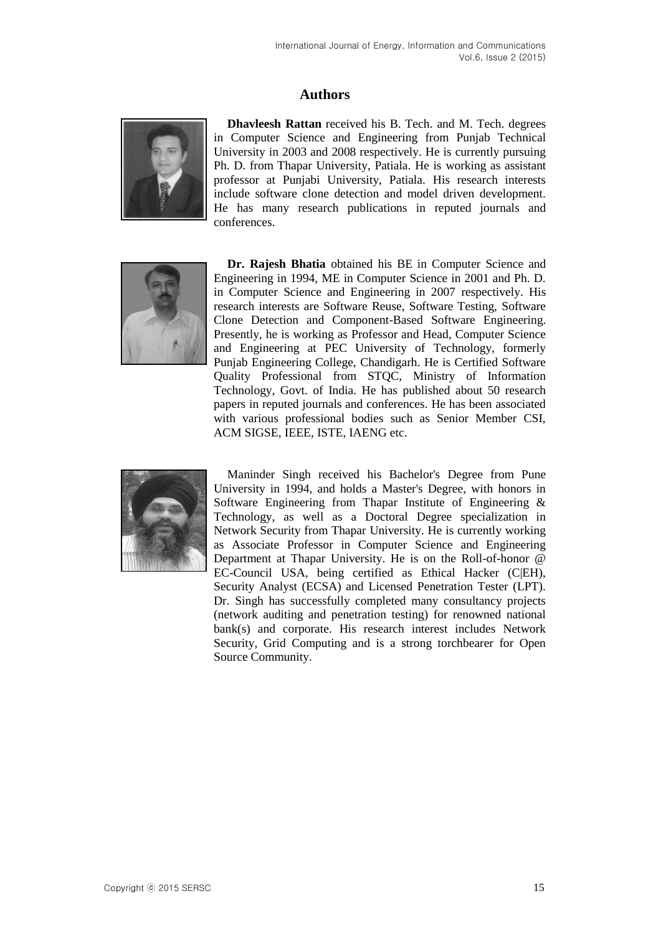# **Authors**



**Dhavleesh Rattan** received his B. Tech. and M. Tech. degrees in Computer Science and Engineering from Punjab Technical University in 2003 and 2008 respectively. He is currently pursuing Ph. D. from Thapar University, Patiala. He is working as assistant professor at Punjabi University, Patiala. His research interests include software clone detection and model driven development. He has many research publications in reputed journals and conferences.



**Dr. Rajesh Bhatia** obtained his BE in Computer Science and Engineering in 1994, ME in Computer Science in 2001 and Ph. D. in Computer Science and Engineering in 2007 respectively. His research interests are Software Reuse, Software Testing, Software Clone Detection and Component-Based Software Engineering. Presently, he is working as Professor and Head, Computer Science and Engineering at PEC University of Technology, formerly Punjab Engineering College, Chandigarh. He is Certified Software Quality Professional from STQC, Ministry of Information Technology, Govt. of India. He has published about 50 research papers in reputed journals and conferences. He has been associated with various professional bodies such as Senior Member CSI, ACM SIGSE, IEEE, ISTE, IAENG etc.



Maninder Singh received his Bachelor's Degree from Pune University in 1994, and holds a Master's Degree, with honors in Software Engineering from Thapar Institute of Engineering & Technology, as well as a Doctoral Degree specialization in Network Security from Thapar University. He is currently working as Associate Professor in Computer Science and Engineering Department at Thapar University. He is on the Roll-of-honor @ EC-Council USA, being certified as Ethical Hacker (C|EH), Security Analyst (ECSA) and Licensed Penetration Tester (LPT). Dr. Singh has successfully completed many consultancy projects (network auditing and penetration testing) for renowned national bank(s) and corporate. His research interest includes Network Security, Grid Computing and is a strong torchbearer for Open Source Community.